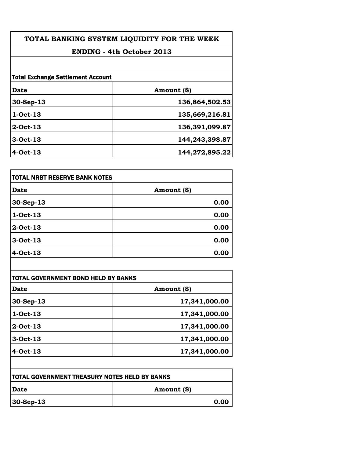| TOTAL BANKING SYSTEM LIQUIDITY FOR THE WEEK<br><b>ENDING - 4th October 2013</b> |                |  |
|---------------------------------------------------------------------------------|----------------|--|
|                                                                                 |                |  |
| <b>Total Exchange Settlement Account</b>                                        |                |  |
| Date                                                                            | Amount (\$)    |  |
| $30-Sep-13$                                                                     | 136,864,502.53 |  |
| 1-Oct-13                                                                        | 135,669,216.81 |  |
| 2-Oct-13                                                                        | 136,391,099.87 |  |
| 3-Oct-13                                                                        | 144,243,398.87 |  |
| 4-Oct-13                                                                        | 144,272,895.22 |  |
|                                                                                 |                |  |

| TOTAL NRBT RESERVE BANK NOTES |             |
|-------------------------------|-------------|
| <b>Date</b>                   | Amount (\$) |
| 30-Sep-13                     | 0.00        |
| $1-Oct-13$                    | 0.00        |
| $2$ -Oct-13                   | 0.00        |
| 3-Oct-13                      | 0.00        |
| 4-Oct-13                      | 0.00        |

| <b>Date</b> | Amount (\$)   |
|-------------|---------------|
| 30-Sep-13   | 17,341,000.00 |
| 1-Oct-13    | 17,341,000.00 |
| $2$ -Oct-13 | 17,341,000.00 |
| 3-Oct-13    | 17,341,000.00 |
| 4-Oct-13    | 17,341,000.00 |

| <b>TOTAL GOVERNMENT TREASURY NOTES HELD BY BANKS</b> |             |
|------------------------------------------------------|-------------|
| Date                                                 | Amount (\$) |
| $ 30 - \text{Sep-}13 $                               | 0.00        |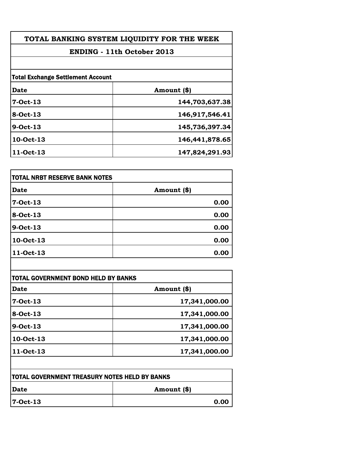| TOTAL BANKING SYSTEM LIQUIDITY FOR THE WEEK<br><b>ENDING - 11th October 2013</b> |                |  |
|----------------------------------------------------------------------------------|----------------|--|
|                                                                                  |                |  |
| <b>Total Exchange Settlement Account</b>                                         |                |  |
| Date                                                                             | Amount (\$)    |  |
| 7-Oct-13                                                                         | 144,703,637.38 |  |
| <b>8-Oct-13</b>                                                                  | 146,917,546.41 |  |
| 9-Oct-13                                                                         | 145,736,397.34 |  |
| 10-Oct-13                                                                        | 146,441,878.65 |  |
| <b>11-Oct-13</b>                                                                 | 147,824,291.93 |  |

| itotal NRBT RESERVE BANK NOTES |             |
|--------------------------------|-------------|
| <b>Date</b>                    | Amount (\$) |
| 7-Oct-13                       | 0.00        |
| 8-Oct-13                       | 0.00        |
| 9-Oct-13                       | 0.00        |
| 10-Oct-13                      | 0.00        |
| <b>11-Oct-13</b>               | 0.00        |

| Date      | Amount (\$)   |
|-----------|---------------|
| 7-Oct-13  | 17,341,000.00 |
| 8-Oct-13  | 17,341,000.00 |
| 9-Oct-13  | 17,341,000.00 |
| 10-Oct-13 | 17,341,000.00 |
| 11-Oct-13 | 17,341,000.00 |

| <b>TOTAL GOVERNMENT TREASURY NOTES HELD BY BANKS</b> |             |
|------------------------------------------------------|-------------|
| Date                                                 | Amount (\$) |
| 7-Oct-13                                             | 0.00        |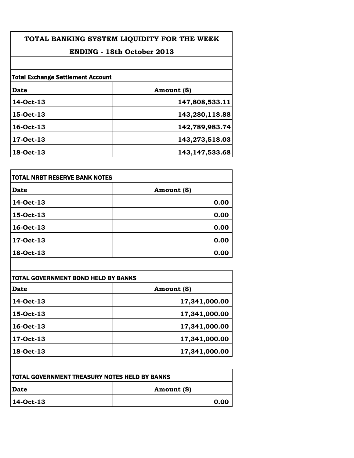| TOTAL BANKING SYSTEM LIQUIDITY FOR THE WEEK<br><b>ENDING - 18th October 2013</b> |                   |
|----------------------------------------------------------------------------------|-------------------|
|                                                                                  |                   |
| <b>Total Exchange Settlement Account</b>                                         |                   |
| <b>Date</b>                                                                      | Amount (\$)       |
| 14-Oct-13                                                                        | 147,808,533.11    |
| 15-Oct-13                                                                        | 143,280,118.88    |
| 16-Oct-13                                                                        | 142,789,983.74    |
| <b>17-Oct-13</b>                                                                 | 143,273,518.03    |
| <b>18-Oct-13</b>                                                                 | 143, 147, 533. 68 |

| itotal NRBT RESERVE BANK NOTES |             |
|--------------------------------|-------------|
| Date                           | Amount (\$) |
| 14-Oct-13                      | 0.00        |
| 15-Oct-13                      | 0.00        |
| 16-Oct-13                      | 0.00        |
| 17-Oct-13                      | 0.00        |
| 18-Oct-13                      | 0.00        |

| Date      | Amount (\$)   |
|-----------|---------------|
| 14-Oct-13 | 17,341,000.00 |
| 15-Oct-13 | 17,341,000.00 |
| 16-Oct-13 | 17,341,000.00 |
| 17-Oct-13 | 17,341,000.00 |
| 18-Oct-13 | 17,341,000.00 |

| TOTAL GOVERNMENT TREASURY NOTES HELD BY BANKS |             |
|-----------------------------------------------|-------------|
| Date                                          | Amount (\$) |
| 14-Oct-13                                     | 0.00        |